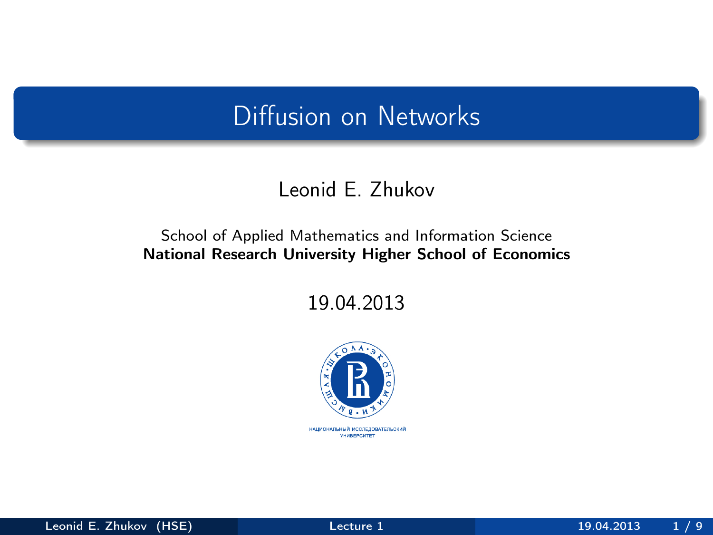#### Diffusion on Networks

#### Leonid E. Zhukov

#### School of Applied Mathematics and Information Science National Research University Higher School of Economics

19.04.2013



<span id="page-0-0"></span>НАЦИОНАЛЬНЫЙ ИССЛЕДОВАТЕЛЬСКИЙ *YHMBEPCWTET*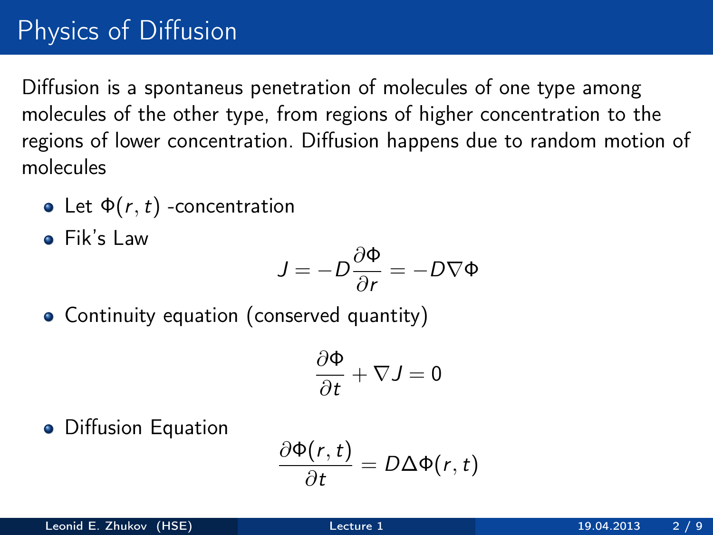# Physics of Diffusion

Diffusion is a spontaneus penetration of molecules of one type among molecules of the other type, from regions of higher concentration to the regions of lower concentration. Diffusion happens due to random motion of molecules

- Let  $\Phi(r, t)$  -concentration
- Fik's Law

$$
J = -D\frac{\partial \Phi}{\partial r} = -D\nabla \Phi
$$

Continuity equation (conserved quantity)

$$
\frac{\partial \Phi}{\partial t} + \nabla J = 0
$$

**•** Diffusion Equation

$$
\frac{\partial \Phi(r,t)}{\partial t} = D \Delta \Phi(r,t)
$$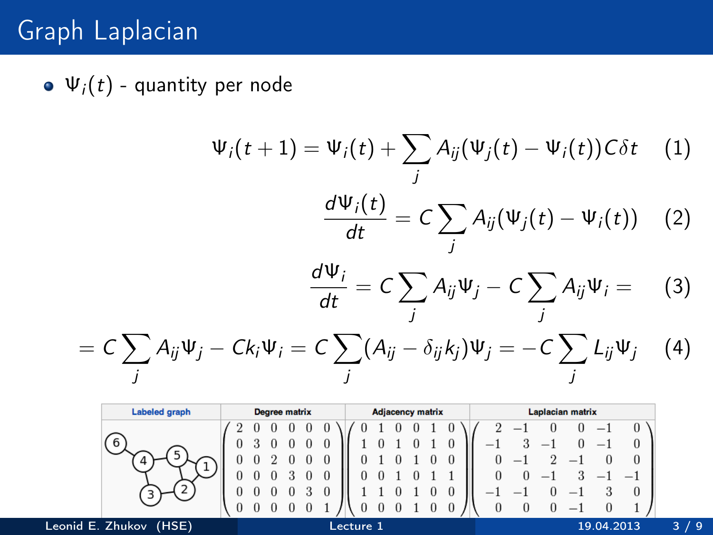## Graph Laplacian

 $\bullet \Psi_i(t)$  - quantity per node

$$
\Psi_i(t+1) = \Psi_i(t) + \sum_j A_{ij}(\Psi_j(t) - \Psi_i(t))C\delta t \tag{1}
$$

$$
d\Psi_i(t) = C \sum_j A_{ij}(\Psi_j(t) - \Psi_i(t)) \tag{2}
$$

$$
\frac{d\,\Psi_j(t)}{dt}=C\sum_j A_{ij}(\Psi_j(t)-\Psi_i(t))\quad (2)
$$

$$
\frac{d\Psi_i}{dt}=C\sum_j A_{ij}\Psi_j-C\sum_j A_{ij}\Psi_i= (3)
$$

$$
= C \sum_j A_{ij} \Psi_j - C k_i \Psi_i = C \sum_j (A_{ij} - \delta_{ij} k_j) \Psi_j = -C \sum_j L_{ij} \Psi_j \quad (4)
$$

| <b>Labeled graph</b>      | <b>Degree matrix</b><br><b>Adjacency matrix</b> | Laplacian matrix                |
|---------------------------|-------------------------------------------------|---------------------------------|
|                           |                                                 |                                 |
|                           |                                                 |                                 |
|                           |                                                 | $\overline{\phantom{a}}$        |
|                           |                                                 | $\overline{\phantom{a}}$        |
|                           | -                                               | $\hspace{0.1mm}-\hspace{0.1mm}$ |
|                           | $\theta$                                        |                                 |
| Leonid E. Zhukov<br>(HSE) | Lecture 1                                       | 19.04.2013                      |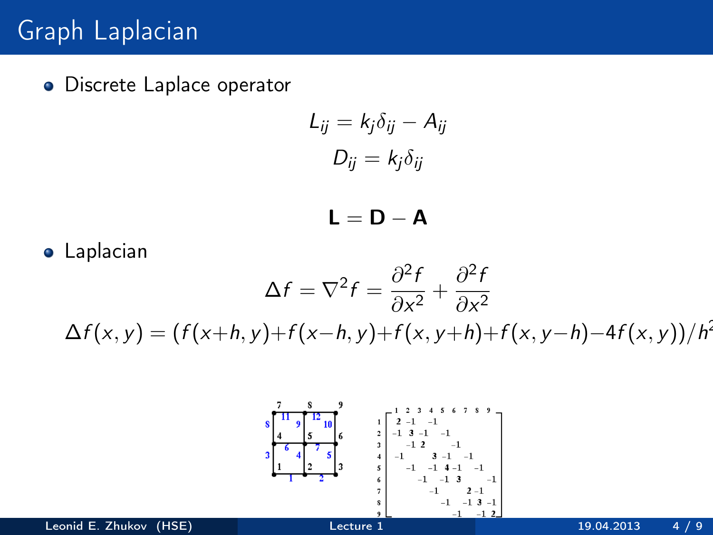### Graph Laplacian

**•** Discrete Laplace operator

$$
L_{ij} = k_j \delta_{ij} - A_{ij}
$$

$$
D_{ij} = k_j \delta_{ij}
$$

$$
\mathbf{L} = \mathbf{D} - \mathbf{A}
$$

**•** Laplacian  $\Delta f = \nabla^2 f = \frac{\partial^2 f}{\partial \Omega^2}$  $\frac{\partial^2 f}{\partial x^2} + \frac{\partial^2 f}{\partial x^2}$  $\partial x^2$  $\Delta f(x, y) = (f(x+h, y)+f(x-h, y)+f(x, y+h)+f(x, y-h)-4f(x, y))/h^2$ 

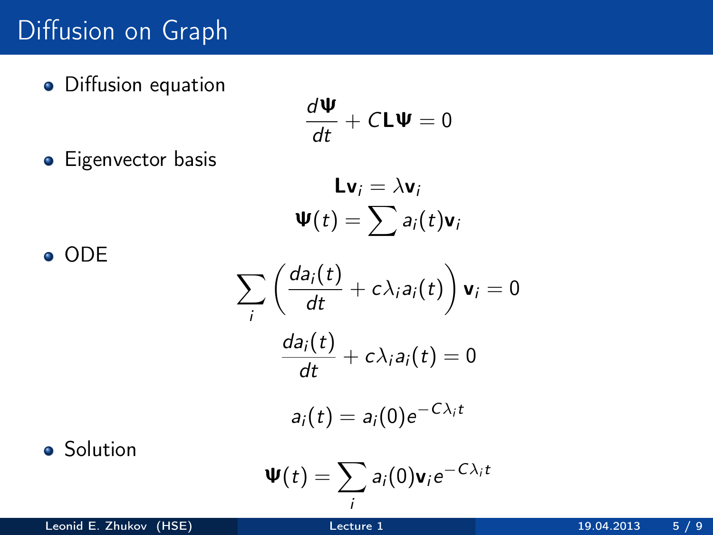### Diffusion on Graph

**·** Diffusion equation

$$
\frac{d\mathbf{\Psi}}{dt} + C\mathbf{L}\mathbf{\Psi} = 0
$$

**•** Eigenvector basis

$$
Lv_i = \lambda v_i
$$

$$
\Psi(t) = \sum a_i(t)v_i
$$

$$
\sum_{i} \left( \frac{da_i(t)}{dt} + c\lambda_i a_i(t) \right) \mathbf{v}_i = 0
$$

$$
\frac{da_i(t)}{dt} + c\lambda_i a_i(t) = 0
$$

$$
a_i(t) = a_i(0)e^{-C\lambda_i t}
$$

**o** Solution

ODE

$$
\mathbf{\Psi}(t)=\sum_i a_i(0)\mathbf{v}_i e^{-C\lambda_i t}
$$

Leonid E. Zhukov (HSE) [Lecture 1](#page-0-0) 19.04.2013 5 / 9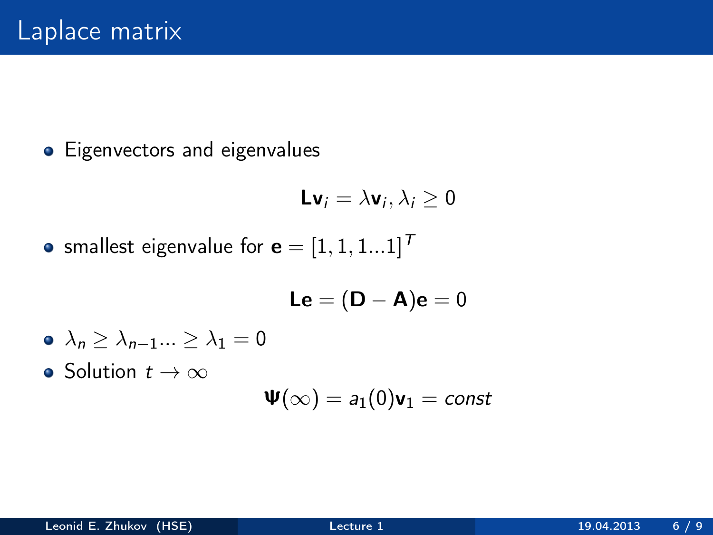• Eigenvectors and eigenvalues

$$
\mathsf{Lv}_i = \lambda \mathsf{v}_i, \lambda_i \geq 0
$$

• smallest eigenvalue for  $\mathbf{e} = [1, 1, 1...1]^{T}$ 

$$
\boldsymbol{\mathsf{Le}} = (\boldsymbol{\mathsf{D}} - \boldsymbol{\mathsf{A}}) \boldsymbol{\mathsf{e}} = 0
$$

$$
\bullet \ \lambda_n \geq \lambda_{n-1}...\geq \lambda_1=0
$$

• Solution  $t \to \infty$ 

$$
\mathbf{\Psi}(\infty)=a_1(0)\mathbf{v}_1=const
$$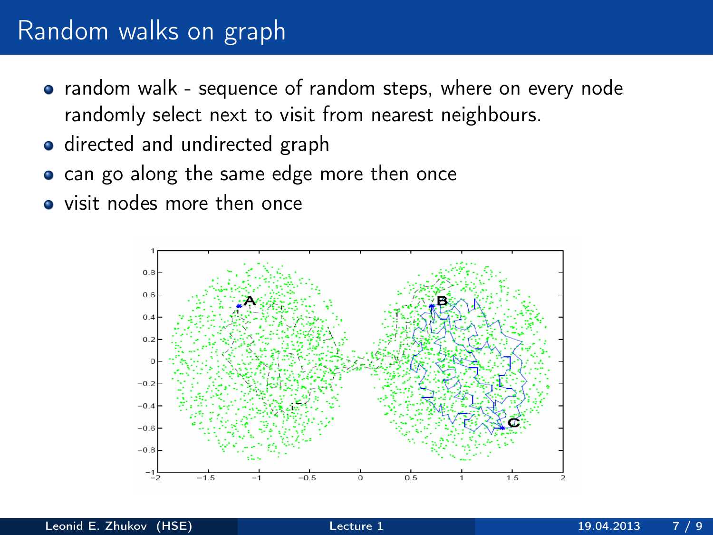#### Random walks on graph

- random walk sequence of random steps, where on every node randomly select next to visit from nearest neighbours.
- directed and undirected graph
- can go along the same edge more then once
- visit nodes more then once

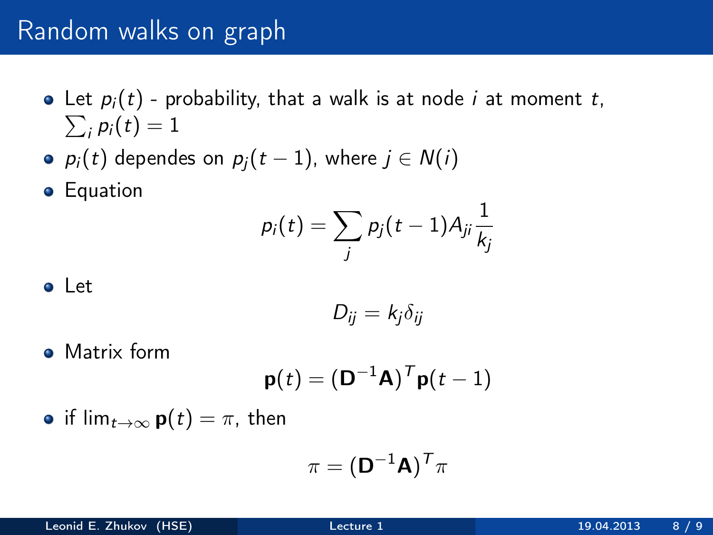#### Random walks on graph

- $\sum_i p_i(t) = 1$ • Let  $p_i(t)$  - probability, that a walk is at node *i* at moment *t*,
- $p_i(t)$  dependes on  $p_i(t-1)$ , where  $j \in N(i)$

**•** Equation

$$
p_i(t) = \sum_j p_j(t-1) A_{ji} \frac{1}{k_j}
$$

Let

$$
D_{ij}=k_j\delta_{ij}
$$

• Matrix form

$$
\mathbf{p}(t) = (\mathbf{D}^{-1}\mathbf{A})^T \mathbf{p}(t-1)
$$

• if  $\lim_{t\to\infty}$  **p**(*t*) =  $\pi$ , then

$$
\pi = (\mathbf{D}^{-1}\mathbf{A})^T\pi
$$